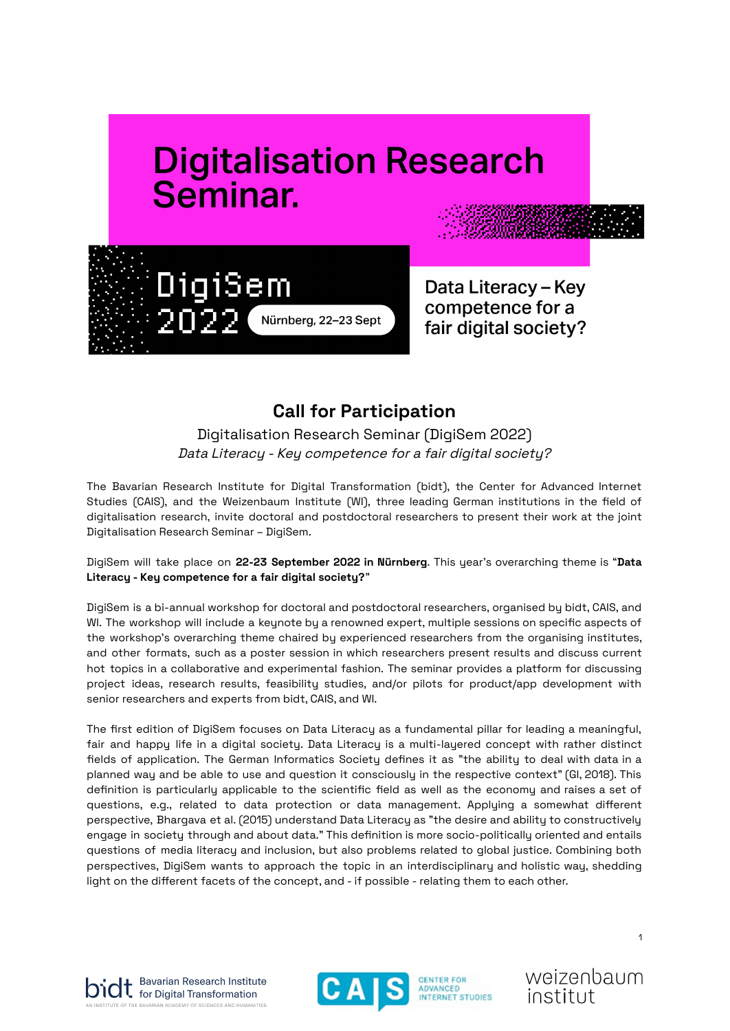# **Digitalisation Research** Seminar.



Data Literacy - Key competence for a fair digital society?

# **Call for Participation**

Digitalisation Research Seminar (DigiSem 2022) Data Literacy - Key competence for <sup>a</sup> fair digital society?

The Bavarian Research Institute for Digital Transformation (bidt), the Center for Advanced Internet Studies (CAIS), and the Weizenbaum Institute (WI), three leading German institutions in the field of digitalisation research, invite doctoral and postdoctoral researchers to present their work at the joint Digitalisation Research Seminar - DigiSem.

DigiSem will take place on **22-23 September 2022 in Nürnberg**. This year's overarching theme is "**Data Literacy - Key competence for a fair digital society?**"

DigiSem is a bi-annual workshop for doctoral and postdoctoral researchers, organised by bidt, CAIS, and WI. The workshop will include a keynote by a renowned expert, multiple sessions on specific aspects of the workshop's overarching theme chaired by experienced researchers from the organising institutes, and other formats, such as a poster session in which researchers present results and discuss current hot topics in a collaborative and experimental fashion. The seminar provides a platform for discussing project ideas, research results, feasibility studies, and/or pilots for product/app development with senior researchers and experts from bidt, CAIS, and WI.

The first edition of DigiSem focuses on Data Literacy as a fundamental pillar for leading a meaningful, fair and happy life in a digital society. Data Literacy is a multi-layered concept with rather distinct fields of application. The German Informatics Society defines it as "the ability to deal with data in a planned way and be able to use and question it consciously in the respective context" (GI, 2018). This definition is particularly applicable to the scientific field as well as the economy and raises a set of questions, e.g., related to data protection or data management. Applying a somewhat different perspective, Bhargava et al. (2015) understand Data Literacy as "the desire and ability to constructively engage in society through and about data." This definition is more socio-politically oriented and entails questions of media literacy and inclusion, but also problems related to global justice. Combining both perspectives, DigiSem wants to approach the topic in an interdisciplinary and holistic way, shedding light on the different facets of the concept, and - if possible - relating them to each other.







weizenbaum institut

1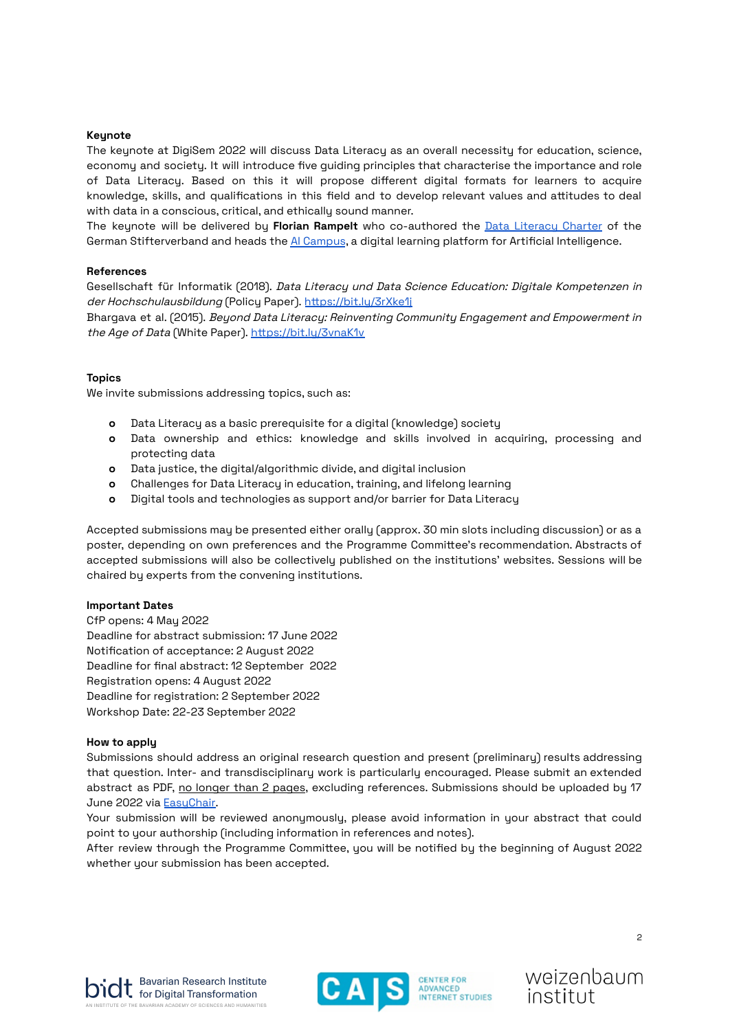# **Keynote**

The keynote at DigiSem 2022 will discuss Data Literacy as an overall necessity for education, science, economy and society. It will introduce five guiding principles that characterise the importance and role of Data Literacy. Based on this it will propose different digital formats for learners to acquire knowledge, skills, and qualifications in this field and to develop relevant values and attitudes to deal with data in a conscious, critical, and ethically sound manner.

The keynote will be delivered by **Florian Rampelt** who co-authored the Data [Literacy](https://www.stifterverband.org/data-literacy-charter) Charter of the German Stifterverband and heads the AI [Campus](https://ki-campus.org/?locale=en), a diqital learning platform for Artificial Intelligence.

# **References**

Gesellschaft für Informatik (2018). Data Literacy und Data Science Education: Digitale Kompetenzen in der Hochschulausbildung (Policy Paper). https://bit.ly/3rXke1i

Bhargava et al. (2015). Beyond Data Literacy: Reinventing Community Engagement and Empowerment in the Age of Data (White Paper). <https://bit.ly/3vnaK1v>

# **Topics**

We invite submissions addressing topics, such as:

- **o** Data Literacy as a basic prerequisite for a digital (knowledge) society
- **o** Data ownership and ethics: knowledge and skills involved in acquiring, processing and protecting data
- **o** Data justice, the digital/algorithmic divide, and digital inclusion
- **o** Challenges for Data Literacy in education, training, and lifelong learning
- **o** Digital tools and technologies as support and/or barrier for Data Literacy

Accepted submissions may be presented either orally (approx. 30 min slots including discussion) or as a poster, depending on own preferences and the Programme Committee's recommendation. Abstracts of accepted submissions will also be collectively published on the institutions' websites. Sessions will be chaired by experts from the convening institutions.

### **Important Dates**

CfP opens: 4 May 2022 Deadline for abstract submission: 17 June 2022 Notification of acceptance: 2 August 2022 Deadline for final abstract: 12 September 2022 Registration opens: 4 August 2022 Deadline for registration: 2 September 2022 Workshop Date: 22-23 September 2022

### **How to apply**

Submissions should address an original research question and present (preliminary) results addressing that question. Inter- and transdisciplinary work is particularly encouraged. Please submit an extended abstract as PDF, no longer than 2 pages, excluding references. Submissions should be uploaded by 17 June 2022 via EasuChair.

Your submission will be reviewed anonymously, please avoid information in your abstract that could point to your authorship (including information in references and notes).

After review through the Programme Committee, you will be notified by the beginning of August 2022 whether your submission has been accepted.







weizenbaum institut